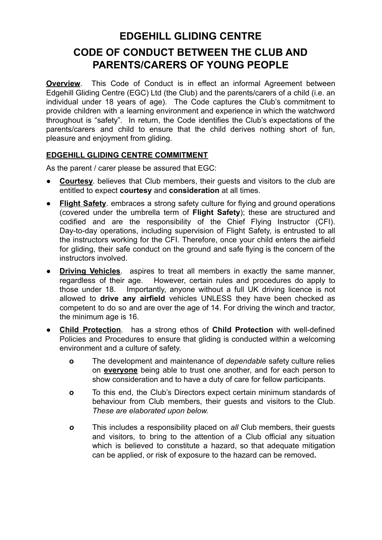## **EDGEHILL GLIDING CENTRE CODE OF CONDUCT BETWEEN THE CLUB AND PARENTS/CARERS OF YOUNG PEOPLE**

**Overview.** This Code of Conduct is in effect an informal Agreement between Edgehill Gliding Centre (EGC) Ltd (the Club) and the parents/carers of a child (i.e. an individual under 18 years of age). The Code captures the Club's commitment to provide children with a learning environment and experience in which the watchword throughout is "safety". In return, the Code identifies the Club's expectations of the parents/carers and child to ensure that the child derives nothing short of fun, pleasure and enjoyment from gliding.

## **EDGEHILL GLIDING CENTRE COMMITMENT**

As the parent / carer please be assured that EGC:

- **Courtesy**, believes that Club members, their quests and visitors to the club are entitled to expect **courtesy** and **consideration** at all times.
- **Flight Safety**, embraces a strong safety culture for flying and ground operations (covered under the umbrella term of **Flight Safety**); these are structured and codified and are the responsibility of the Chief Flying Instructor (CFI). Day-to-day operations, including supervision of Flight Safety, is entrusted to all the instructors working for the CFI. Therefore, once your child enters the airfield for gliding, their safe conduct on the ground and safe flying is the concern of the instructors involved.
- **Driving Vehicles**. aspires to treat all members in exactly the same manner, regardless of their age. However, certain rules and procedures do apply to those under 18. Importantly, anyone without a full UK driving licence is not allowed to **drive any airfield** vehicles UNLESS they have been checked as competent to do so and are over the age of 14. For driving the winch and tractor, the minimum age is 16.
- **● Child Protection**. has a strong ethos of **Child Protection** with well-defined Policies and Procedures to ensure that gliding is conducted within a welcoming environment and a culture of safety.
	- **o** The development and maintenance of *dependable* safety culture relies on **everyone** being able to trust one another, and for each person to show consideration and to have a duty of care for fellow participants.
	- **o** To this end, the Club's Directors expect certain minimum standards of behaviour from Club members, their guests and visitors to the Club. *These are elaborated upon below.*
	- *o* This includes a responsibility placed on *all* Club members, their guests and visitors, to bring to the attention of a Club official any situation which is believed to constitute a hazard, so that adequate mitigation can be applied, or risk of exposure to the hazard can be removed**.**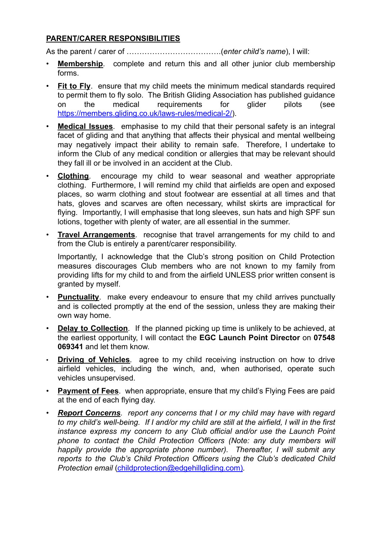## **PARENT/CARER RESPONSIBILITIES**

As the parent / carer of ……………………………….(*enter child's name*), I will:

- **Membership**. complete and return this and all other junior club membership forms.
- **Fit to Fly**. ensure that my child meets the minimum medical standards required to permit them to fly solo. The British Gliding Association has published guidance on the medical requirements for glider pilots (see <https://members.gliding.co.uk/laws-rules/medical-2/>).
- **Medical Issues**. emphasise to my child that their personal safety is an integral facet of gliding and that anything that affects their physical and mental wellbeing may negatively impact their ability to remain safe. Therefore, I undertake to inform the Club of any medical condition or allergies that may be relevant should they fall ill or be involved in an accident at the Club.
- **Clothing**. encourage my child to wear seasonal and weather appropriate clothing. Furthermore, I will remind my child that airfields are open and exposed places, so warm clothing and stout footwear are essential at all times and that hats, gloves and scarves are often necessary, whilst skirts are impractical for flying. Importantly, I will emphasise that long sleeves, sun hats and high SPF sun lotions, together with plenty of water, are all essential in the summer.
- **Travel Arrangements**. recognise that travel arrangements for my child to and from the Club is entirely a parent/carer responsibility.

Importantly, I acknowledge that the Club's strong position on Child Protection measures discourages Club members who are not known to my family from providing lifts for my child to and from the airfield UNLESS prior written consent is granted by myself.

- **Punctuality**. make every endeavour to ensure that my child arrives punctually and is collected promptly at the end of the session, unless they are making their own way home.
- **Delay to Collection**. If the planned picking up time is unlikely to be achieved, at the earliest opportunity, I will contact the **EGC Launch Point Director** on **07548 069341** and let them know.
- **Driving of Vehicles**. agree to my child receiving instruction on how to drive airfield vehicles, including the winch, and, when authorised, operate such vehicles unsupervised.
- **Payment of Fees**. when appropriate, ensure that my child's Flying Fees are paid at the end of each flying day.
- *Report Concerns. report any concerns that I or my child may have with regard* to my child's well-being. If I and/or my child are still at the airfield, I will in the first *instance express my concern to any Club official and/or use the Launch Point phone to contact the Child Protection Officers (Note: any duty members will happily provide the appropriate phone number). Thereafter, I will submit any reports to the Club's Child Protection Officers using the Club's dedicated Child Protection email* [\(childprotection@edgehillgliding.com\)](mailto:childprotection@edgehillgliding.com)*.*